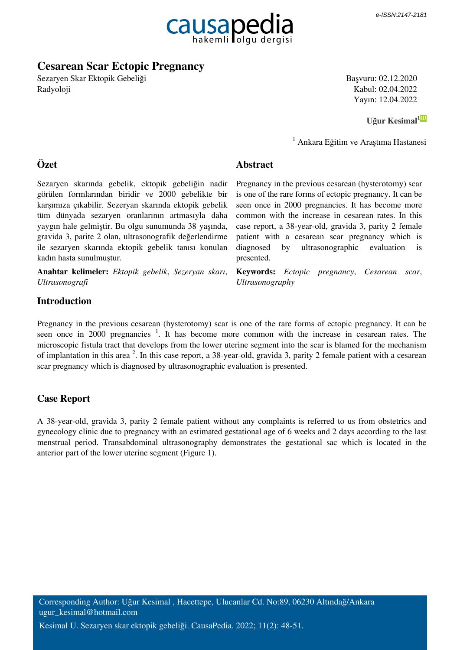

**Abstract**

# **Cesarean Scar Ectopic Pregnancy**

Sezaryen Skar Ektopik Gebeliği Radyoloji

Başvuru: 02.12.2020 Kabul: 02.04.2022 Yayın: 12.04.2022

 **[Uğur Kesimal](http://orcid.org/0000-0002-7994-5482)[1ID](http://orcid.org/0000-0002-7994-5482)**

1 Ankara Eğitim ve Araştıma Hastanesi

# **Özet**

Sezaryen skarında gebelik, ektopik gebeliğin nadir görülen formlarından biridir ve 2000 gebelikte bir karşımıza çıkabilir. Sezeryan skarında ektopik gebelik tüm dünyada sezaryen oranlarının artmasıyla daha yaygın hale gelmiştir. Bu olgu sunumunda 38 yaşında, gravida 3, parite 2 olan, ultrasonografik değerlendirme ile sezaryen skarında ektopik gebelik tanısı konulan kadın hasta sunulmuştur.

**Anahtar kelimeler:** *Ektopik gebelik*, *Sezeryan skarı*, *Ultrasonografi*

Pregnancy in the previous cesarean (hysterotomy) scar is one of the rare forms of ectopic pregnancy. It can be seen once in 2000 pregnancies. It has become more common with the increase in cesarean rates. In this case report, a 38-year-old, gravida 3, parity 2 female patient with a cesarean scar pregnancy which is diagnosed by ultrasonographic evaluation is presented.

**Keywords:** *Ectopic pregnancy*, *Cesarean scar*, *Ultrasonography*

# **Introduction**

Pregnancy in the previous cesarean (hysterotomy) scar is one of the rare forms of ectopic pregnancy. It can be seen once in 2000 pregnancies <sup>1</sup>. It has become more common with the increase in cesarean rates. The microscopic fistula tract that develops from the lower uterine segment into the scar is blamed for the mechanism of implantation in this area  $2$ . In this case report, a 38-year-old, gravida 3, parity 2 female patient with a cesarean scar pregnancy which is diagnosed by ultrasonographic evaluation is presented.

# **Case Report**

A 38-year-old, gravida 3, parity 2 female patient without any complaints is referred to us from obstetrics and gynecology clinic due to pregnancy with an estimated gestational age of 6 weeks and 2 days according to the last menstrual period. Transabdominal ultrasonography demonstrates the gestational sac which is located in the anterior part of the lower uterine segment (Figure 1).

Corresponding Author: Uğur Kesimal , Hacettepe, Ulucanlar Cd. No:89, 06230 Altındağ/Ankara ugur\_kesimal@hotmail.com

Kesimal U. Sezaryen skar ektopik gebeliği. CausaPedia. 2022; 11(2): 48-51.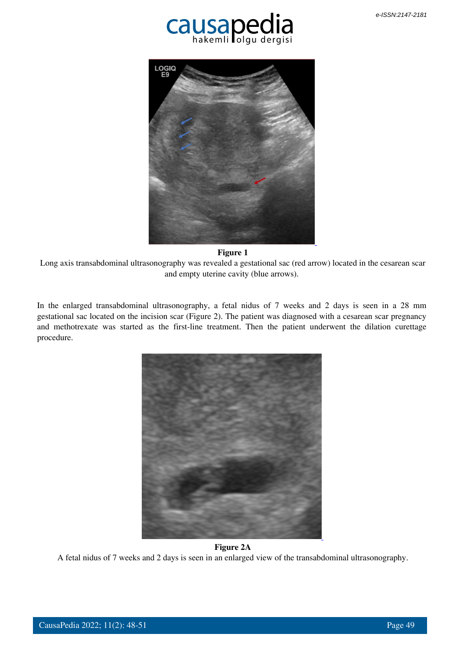



#### **Figure 1**

 Long axis transabdominal ultrasonography was revealed a gestational sac (red arrow) located in the cesarean scar and empty uterine cavity (blue arrows).

In the enlarged transabdominal ultrasonography, a fetal nidus of 7 weeks and 2 days is seen in a 28 mm gestational sac located on the incision scar (Figure 2). The patient was diagnosed with a cesarean scar pregnancy and methotrexate was started as the first-line treatment. Then the patient underwent the dilation curettage procedure.



### **Figure 2A**

A fetal nidus of 7 weeks and 2 days is seen in an enlarged view of the transabdominal ultrasonography.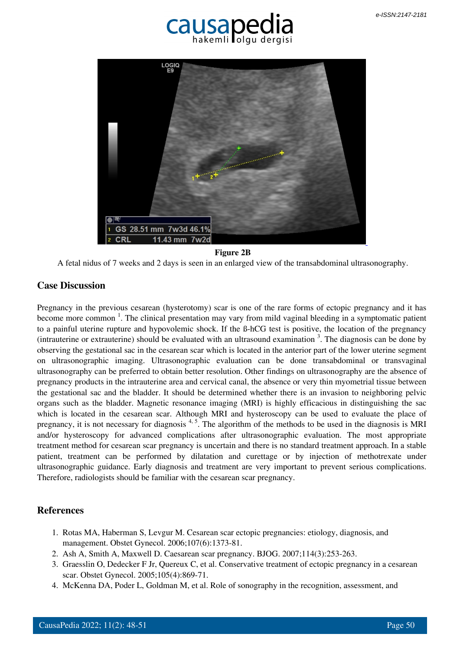



### **Figure 2B**

A fetal nidus of 7 weeks and 2 days is seen in an enlarged view of the transabdominal ultrasonography.

### **Case Discussion**

Pregnancy in the previous cesarean (hysterotomy) scar is one of the rare forms of ectopic pregnancy and it has become more common<sup>1</sup>. The clinical presentation may vary from mild vaginal bleeding in a symptomatic patient to a painful uterine rupture and hypovolemic shock. If the ß-hCG test is positive, the location of the pregnancy (intrauterine or extrauterine) should be evaluated with an ultrasound examination  $3$ . The diagnosis can be done by observing the gestational sac in the cesarean scar which is located in the anterior part of the lower uterine segment on ultrasonographic imaging. Ultrasonographic evaluation can be done transabdominal or transvaginal ultrasonography can be preferred to obtain better resolution. Other findings on ultrasonography are the absence of pregnancy products in the intrauterine area and cervical canal, the absence or very thin myometrial tissue between the gestational sac and the bladder. It should be determined whether there is an invasion to neighboring pelvic organs such as the bladder. Magnetic resonance imaging (MRI) is highly efficacious in distinguishing the sac which is located in the cesarean scar. Although MRI and hysteroscopy can be used to evaluate the place of pregnancy, it is not necessary for diagnosis  $4, 5$ . The algorithm of the methods to be used in the diagnosis is MRI and/or hysteroscopy for advanced complications after ultrasonographic evaluation. The most appropriate treatment method for cesarean scar pregnancy is uncertain and there is no standard treatment approach. In a stable patient, treatment can be performed by dilatation and curettage or by injection of methotrexate under ultrasonographic guidance. Early diagnosis and treatment are very important to prevent serious complications. Therefore, radiologists should be familiar with the cesarean scar pregnancy.

# **References**

- 1. Rotas MA, Haberman S, Levgur M. Cesarean scar ectopic pregnancies: etiology, diagnosis, and management. Obstet Gynecol. 2006;107(6):1373-81.
- 2. Ash A, Smith A, Maxwell D. Caesarean scar pregnancy. BJOG. 2007;114(3):253-263.
- 3. Graesslin O, Dedecker F Jr, Quereux C, et al. Conservative treatment of ectopic pregnancy in a cesarean scar. Obstet Gynecol. 2005;105(4):869-71.
- 4. McKenna DA, Poder L, Goldman M, et al. Role of sonography in the recognition, assessment, and